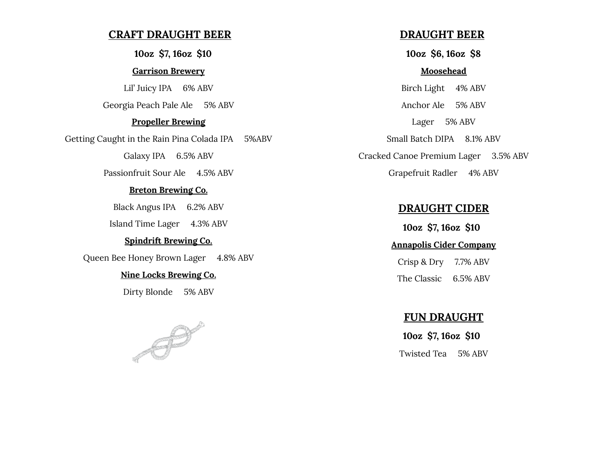# **CRAFT DRAUGHT BEER**

**10oz \$7, 16oz \$10**

#### **Garrison Brewery**

Lil' Juicy IPA 6% ABV Georgia Peach Pale Ale 5% ABV

#### **Propeller Brewing**

Getting Caught in the Rain Pina Colada IPA 5%ABV

Galaxy IPA 6.5% ABV

Passionfruit Sour Ale 4.5% ABV

#### **Breton Brewing Co.**

Black Angus IPA 6.2% ABV

Island Time Lager 4.3% ABV

#### **Spindrift Brewing Co.**

Queen Bee Honey Brown Lager 4.8% ABV

#### **Nine Locks Brewing Co.**

Dirty Blonde 5% ABV



# **DRAUGHT BEER**

**10oz \$6, 16oz \$8**

#### **Moosehead**

Birch Light 4% ABV Anchor Ale 5% ABV Lager 5% ABV Small Batch DIPA 8.1% ABV Cracked Canoe Premium Lager 3.5% ABV Grapefruit Radler 4% ABV

# **DRAUGHT CIDER**

**10oz \$7, 16oz \$10 Annapolis Cider Company** Crisp & Dry 7.7% ABV

The Classic 6.5% ABV

# **FUN DRAUGHT**

**10oz \$7, 16oz \$10** Twisted Tea 5% ABV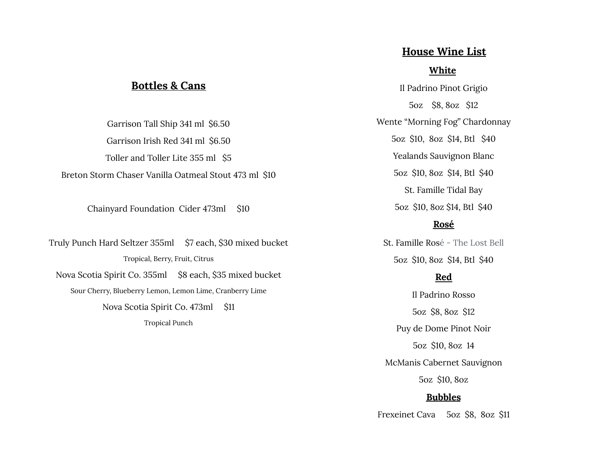# **House Wine List**

# **White**

Il Padrino Pinot Grigio 5oz \$8, 8oz \$12 Wente "Morning Fog" Chardonnay 5oz \$10, 8oz \$14, Btl \$40 Yealands Sauvignon Blanc 5oz \$10, 8oz \$14, Btl \$40 St. Famille Tidal Bay 5oz \$10, 8oz \$14, Btl \$40

#### **Rosé**

St. Famille Rosé - The Lost Bell 5oz \$10, 8oz \$14, Btl \$40

# **Red**

Il Padrino Rosso 5oz \$8, 8oz \$12 Puy de Dome Pinot Noir 5oz \$10, 8oz 14 McManis Cabernet Sauvignon 5oz \$10, 8oz

### **Bubbles**

Frexeinet Cava 5oz \$8, 8oz \$11

# **Bottles & Cans**

Garrison Tall Ship 341 ml \$6.50 Garrison Irish Red 341 ml \$6.50 Toller and Toller Lite 355 ml \$5 Breton Storm Chaser Vanilla Oatmeal Stout 473 ml \$10

Chainyard Foundation Cider 473ml \$10

Truly Punch Hard Seltzer 355ml \$7 each, \$30 mixed bucket Tropical, Berry, Fruit, Citrus Nova Scotia Spirit Co. 355ml \$8 each, \$35 mixed bucket Sour Cherry, Blueberry Lemon, Lemon Lime, Cranberry Lime Nova Scotia Spirit Co. 473ml \$11 Tropical Punch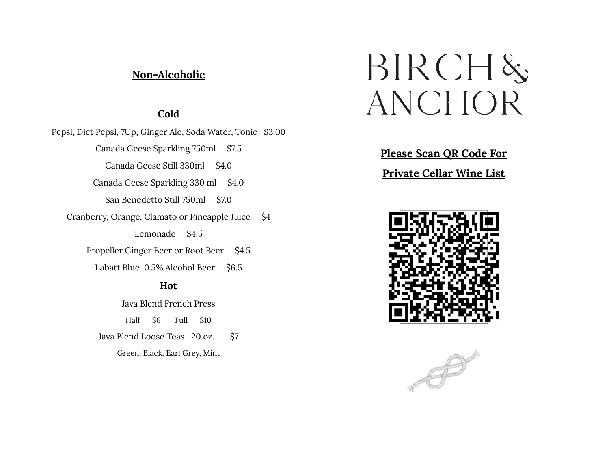# **Non-Alcoholic**

# **Cold**

Pepsi, Diet Pepsi, 7Up, Ginger Ale, Soda Water, Tonic \$3.00 Canada Geese Sparkling 750ml \$7.5 Canada Geese Still 330ml \$4.0 Canada Geese Sparkling 330 ml \$4.0 San Benedetto Still 750ml \$7.0 Cranberry, Orange, Clamato or Pineapple Juice \$4 Lemonade \$4.5 Propeller Ginger Beer or Root Beer \$4.5 Labatt Blue 0.5% Alcohol Beer \$6.5 **Hot**

Java Blend French Press Half \$6 Full \$10 Java Blend Loose Teas 20 oz. \$7 Green, Black, Earl Grey, Mint

# $BIRCH\&$ ANCHOR

**Please Scan QR Code For Private Cellar Wine List**